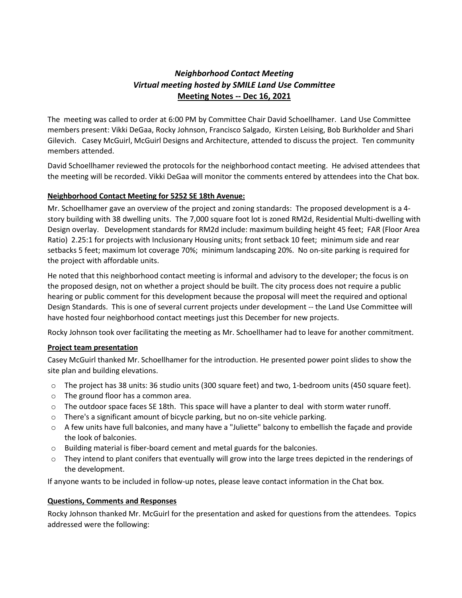## *Neighborhood Contact Meeting Virtual meeting hosted by SMILE Land Use Committee*  **Meeting Notes -- Dec 16, 2021**

The meeting was called to order at 6:00 PM by Committee Chair David Schoellhamer. Land Use Committee members present: Vikki DeGaa, Rocky Johnson, Francisco Salgado, Kirsten Leising, Bob Burkholder and Shari Gilevich. Casey McGuirl, McGuirl Designs and Architecture, attended to discuss the project. Ten community members attended.

David Schoellhamer reviewed the protocols for the neighborhood contact meeting. He advised attendees that the meeting will be recorded. Vikki DeGaa will monitor the comments entered by attendees into the Chat box.

## **Neighborhood Contact Meeting for 5252 SE 18th Avenue:**

Mr. Schoellhamer gave an overview of the project and zoning standards: The proposed development is a 4 story building with 38 dwelling units. The 7,000 square foot lot is zoned RM2d, Residential Multi-dwelling with Design overlay. Development standards for RM2d include: maximum building height 45 feet; FAR (Floor Area Ratio) 2.25:1 for projects with Inclusionary Housing units; front setback 10 feet; minimum side and rear setbacks 5 feet; maximum lot coverage 70%; minimum landscaping 20%. No on-site parking is required for the project with affordable units.

He noted that this neighborhood contact meeting is informal and advisory to the developer; the focus is on the proposed design, not on whether a project should be built. The city process does not require a public hearing or public comment for this development because the proposal will meet the required and optional Design Standards. This is one of several current projects under development -- the Land Use Committee will have hosted four neighborhood contact meetings just this December for new projects.

Rocky Johnson took over facilitating the meeting as Mr. Schoellhamer had to leave for another commitment.

## **Project team presentation**

Casey McGuirl thanked Mr. Schoellhamer for the introduction. He presented power point slides to show the site plan and building elevations.

- o The project has 38 units: 36 studio units (300 square feet) and two, 1-bedroom units (450 square feet).
- o The ground floor has a common area.
- $\circ$  The outdoor space faces SE 18th. This space will have a planter to deal with storm water runoff.
- $\circ$  There's a significant amount of bicycle parking, but no on-site vehicle parking.
- o A few units have full balconies, and many have a "Juliette" balcony to embellish the façade and provide the look of balconies.
- o Building material is fiber-board cement and metal guards for the balconies.
- o They intend to plant conifers that eventually will grow into the large trees depicted in the renderings of the development.

If anyone wants to be included in follow-up notes, please leave contact information in the Chat box.

## **Questions, Comments and Responses**

Rocky Johnson thanked Mr. McGuirl for the presentation and asked for questions from the attendees. Topics addressed were the following: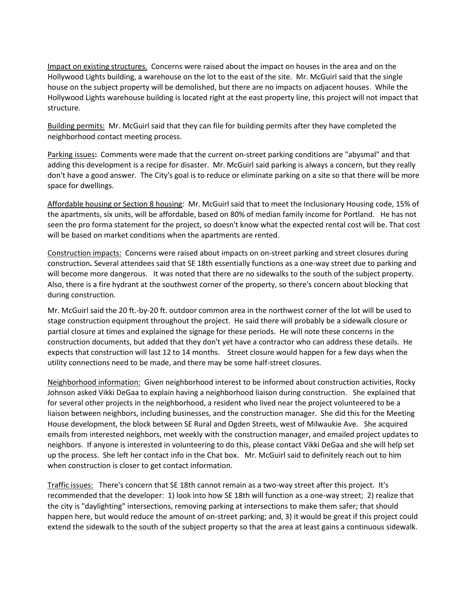Impact on existing structures. Concerns were raised about the impact on houses in the area and on the Hollywood Lights building, a warehouse on the lot to the east of the site. Mr. McGuirl said that the single house on the subject property will be demolished, but there are no impacts on adjacent houses. While the Hollywood Lights warehouse building is located right at the east property line, this project will not impact that structure.

Building permits: Mr. McGuirl said that they can file for building permits after they have completed the neighborhood contact meeting process.

Parking issues**:** Comments were made that the current on-street parking conditions are "abysmal" and that adding this development is a recipe for disaster. Mr. McGuirl said parking is always a concern, but they really don't have a good answer. The City's goal is to reduce or eliminate parking on a site so that there will be more space for dwellings.

Affordable housing or Section 8 housing: Mr. McGuirl said that to meet the Inclusionary Housing code, 15% of the apartments, six units, will be affordable, based on 80% of median family income for Portland. He has not seen the pro forma statement for the project, so doesn't know what the expected rental cost will be. That cost will be based on market conditions when the apartments are rented.

Construction impacts: Concerns were raised about impacts on on-street parking and street closures during construction**.** Several attendees said that SE 18th essentially functions as a one-way street due to parking and will become more dangerous. It was noted that there are no sidewalks to the south of the subject property. Also, there is a fire hydrant at the southwest corner of the property, so there's concern about blocking that during construction.

Mr. McGuirl said the 20 ft.-by-20 ft. outdoor common area in the northwest corner of the lot will be used to stage construction equipment throughout the project. He said there will probably be a sidewalk closure or partial closure at times and explained the signage for these periods. He will note these concerns in the construction documents, but added that they don't yet have a contractor who can address these details. He expects that construction will last 12 to 14 months. Street closure would happen for a few days when the utility connections need to be made, and there may be some half-street closures.

Neighborhood information:Given neighborhood interest to be informed about construction activities, Rocky Johnson asked Vikki DeGaa to explain having a neighborhood liaison during construction. She explained that for several other projects in the neighborhood, a resident who lived near the project volunteered to be a liaison between neighbors, including businesses, and the construction manager. She did this for the Meeting House development, the block between SE Rural and Ogden Streets, west of Milwaukie Ave. She acquired emails from interested neighbors, met weekly with the construction manager, and emailed project updates to neighbors. If anyone is interested in volunteering to do this, please contact Vikki DeGaa and she will help set up the process. She left her contact info in the Chat box. Mr. McGuirl said to definitely reach out to him when construction is closer to get contact information.

Traffic issues:There's concern that SE 18th cannot remain as a two-way street after this project. It's recommended that the developer: 1) look into how SE 18th will function as a one-way street; 2) realize that the city is "daylighting" intersections, removing parking at intersections to make them safer; that should happen here, but would reduce the amount of on-street parking; and, 3) it would be great if this project could extend the sidewalk to the south of the subject property so that the area at least gains a continuous sidewalk.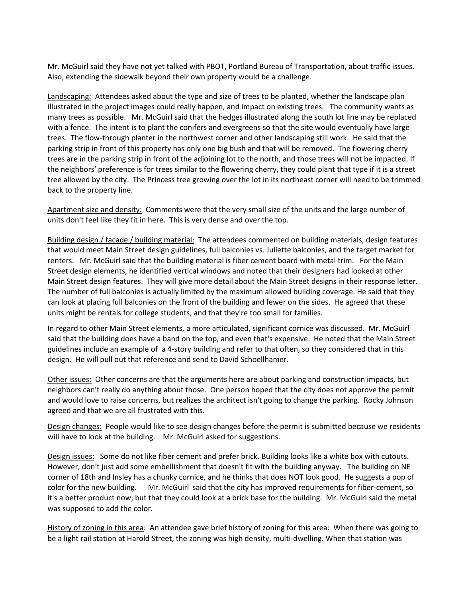Mr. McGuirl said they have not yet talked with PBOT, Portland Bureau of Transportation, about traffic issues. Also, extending the sidewalk beyond their own property would be a challenge.

Landscaping:Attendees asked about the type and size of trees to be planted, whether the landscape plan illustrated in the project images could really happen, and impact on existing trees. The community wants as many trees as possible.Mr. McGuirl said that the hedges illustrated along the south lot line may be replaced with a fence. The intent is to plant the conifers and evergreens so that the site would eventually have large trees. The flow-through planter in the northwest corner and other landscaping still work. He said that the parking strip in front of this property has only one big bush and that will be removed. The flowering cherry trees are in the parking strip in front of the adjoining lot to the north, and those trees will not be impacted. If the neighbors' preference is for trees similar to the flowering cherry, they could plant that type if it is a street tree allowed by the city. The Princess tree growing over the lot in its northeast corner will need to be trimmed back to the property line.

Apartment size and density: Comments were that the very small size of the units and the large number of units don't feel like they fit in here. This is very dense and over the top.

Building design / façade / building material:The attendees commented on building materials, design features that would meet Main Street design guidelines, full balconies vs. Juliette balconies, and the target market for renters. Mr. McGuirl said that the building material is fiber cement board with metal trim. For the Main Street design elements, he identified vertical windows and noted that their designers had looked at other Main Street design features. They will give more detail about the Main Street designs in their response letter. The number of full balconies is actually limited by the maximum allowed building coverage. He said that they can look at placing full balconies on the front of the building and fewer on the sides. He agreed that these units might be rentals for college students, and that they're too small for families.

In regard to other Main Street elements, a more articulated, significant cornice was discussed. Mr. McGuirl said that the building does have a band on the top, and even that's expensive. He noted that the Main Street guidelines include an example of a 4-story building and refer to that often, so they considered that in this design. He will pull out that reference and send to David Schoellhamer.

Other issues:Other concerns are that the arguments here are about parking and construction impacts, but neighbors can't really do anything about those. One person hoped that the city does not approve the permit and would love to raise concerns, but realizes the architect isn't going to change the parking. Rocky Johnson agreed and that we are all frustrated with this.

Design changes: People would like to see design changes before the permit is submitted because we residents will have to look at the building. Mr. McGuirl asked for suggestions.

Design issues: Some do not like fiber cement and prefer brick. Building looks like a white box with cutouts. However, don't just add some embellishment that doesn't fit with the building anyway. The building on NE corner of 18th and Insley has a chunky cornice, and he thinks that does NOT look good. He suggests a pop of color for the new building. Mr. McGuirl said that the city has improved requirements for fiber-cement, so it's a better product now, but that they could look at a brick base for the building. Mr. McGuirl said the metal was supposed to add the color.

History of zoning in this area: An attendee gave brief history of zoning for this area: When there was going to be a light rail station at Harold Street, the zoning was high density, multi-dwelling. When that station was